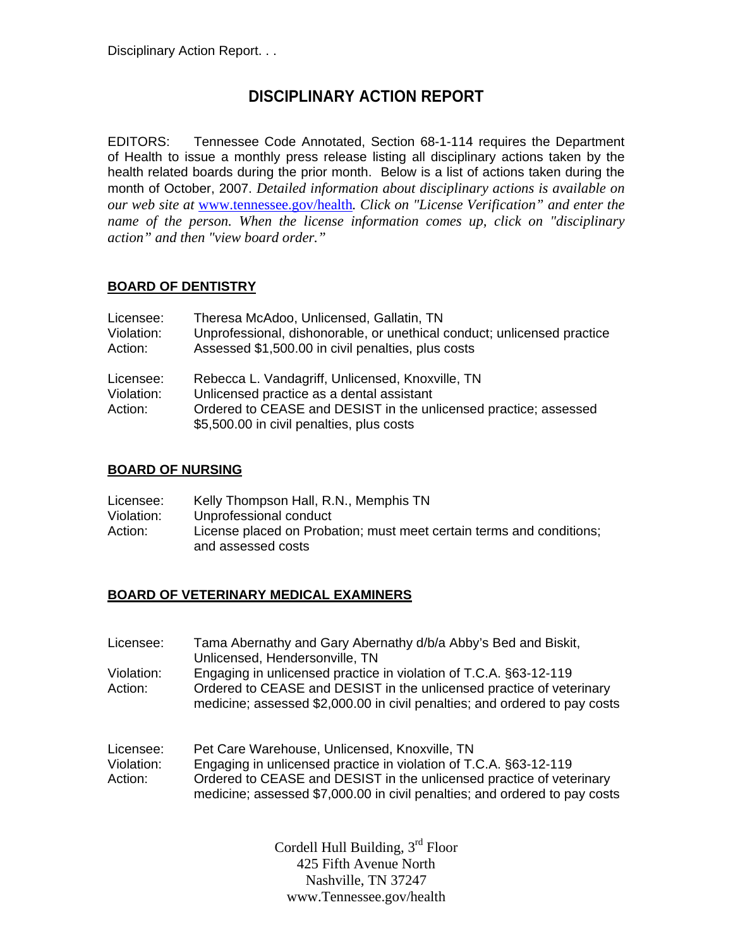# **DISCIPLINARY ACTION REPORT**

EDITORS: Tennessee Code Annotated, Section 68-1-114 requires the Department of Health to issue a monthly press release listing all disciplinary actions taken by the health related boards during the prior month. Below is a list of actions taken during the month of October, 2007. *Detailed information about disciplinary actions is available on our web site at* www.tennessee.gov/health*. Click on "License Verification" and enter the name of the person. When the license information comes up, click on "disciplinary action" and then "view board order."* 

### **BOARD OF DENTISTRY**

| Licensee:  | Theresa McAdoo, Unlicensed, Gallatin, TN                                |
|------------|-------------------------------------------------------------------------|
| Violation: | Unprofessional, dishonorable, or unethical conduct; unlicensed practice |
| Action:    | Assessed \$1,500.00 in civil penalties, plus costs                      |
| Licensee:  | Rebecca L. Vandagriff, Unlicensed, Knoxville, TN                        |
| Violation: | Unlicensed practice as a dental assistant                               |
| Action:    | Ordered to CEASE and DESIST in the unlicensed practice; assessed        |
|            | \$5,500.00 in civil penalties, plus costs                               |

#### **BOARD OF NURSING**

| Licensee:  | Kelly Thompson Hall, R.N., Memphis TN                                |  |
|------------|----------------------------------------------------------------------|--|
| Violation: | Unprofessional conduct                                               |  |
| Action:    | License placed on Probation; must meet certain terms and conditions; |  |
|            | and assessed costs                                                   |  |

#### **BOARD OF VETERINARY MEDICAL EXAMINERS**

| Licensee:                          | Tama Abernathy and Gary Abernathy d/b/a Abby's Bed and Biskit,<br>Unlicensed, Hendersonville, TN                                                                                                                                                                         |
|------------------------------------|--------------------------------------------------------------------------------------------------------------------------------------------------------------------------------------------------------------------------------------------------------------------------|
| Violation:<br>Action:              | Engaging in unlicensed practice in violation of T.C.A. §63-12-119<br>Ordered to CEASE and DESIST in the unlicensed practice of veterinary<br>medicine; assessed \$2,000.00 in civil penalties; and ordered to pay costs                                                  |
| Licensee:<br>Violation:<br>Action: | Pet Care Warehouse, Unlicensed, Knoxville, TN<br>Engaging in unlicensed practice in violation of T.C.A. §63-12-119<br>Ordered to CEASE and DESIST in the unlicensed practice of veterinary<br>medicine; assessed \$7,000.00 in civil penalties; and ordered to pay costs |

Cordell Hull Building, 3<sup>rd</sup> Floor 425 Fifth Avenue North Nashville, TN 37247 www.Tennessee.gov/health